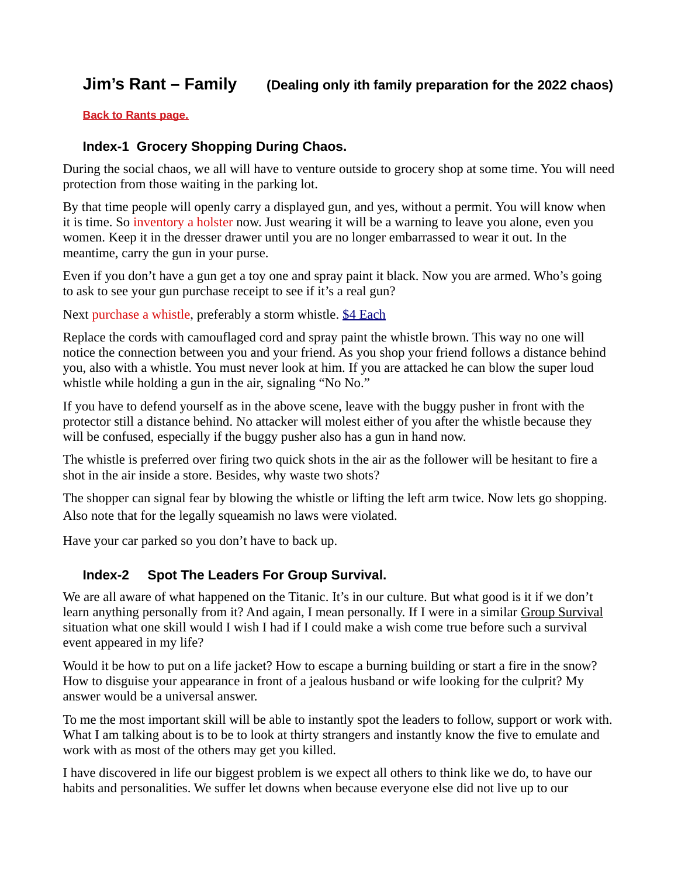# **Jim's Rant – Family (Dealing only ith family preparation for the 2022 chaos)**

**[Back to Rants page.](https://www.resetus.us/copy-of-covid-meds-1)**

### **Index-1 Grocery Shopping During Chaos.**

During the social chaos, we all will have to venture outside to grocery shop at some time. You will need protection from those waiting in the parking lot.

By that time people will openly carry a displayed gun, and yes, without a permit. You will know when it is time. So inventory a holster now. Just wearing it will be a warning to leave you alone, even you women. Keep it in the dresser drawer until you are no longer embarrassed to wear it out. In the meantime, carry the gun in your purse.

Even if you don't have a gun get a toy one and spray paint it black. Now you are armed. Who's going to ask to see your gun purchase receipt to see if it's a real gun?

Next purchase a whistle, preferably a storm whistle. [\\$4 Each](https://www.amazon.com/LuxoGear-Emergency-Whistles-Lifeguard-Signaling/dp/B07RNNMZW3/ref=sr_1_2_sspa?crid=1NK1HPYRSVZN3&keywords=storm+whistle&qid=1643109957&sprefix=storm+whistl%2Caps%2C997&sr=8-2-spons&psc=1&spLa=ZW5jcnlwdGVkUXVhbGlmaWVyPUEzMjEyMTFIRDhJRjhVJmVuY3J5cHRlZElkPUEwMzc2MDczMjRYWUdDTURWWEFCJmVuY3J5cHRlZEFkSWQ9QTAxNTg4MjcxWFpLNk5YWFJVRzQ5JndpZGdldE5hbWU9c3BfYXRmJmFjdGlvbj1jbGlja1JlZGlyZWN0JmRvTm90TG9nQ2xpY2s9dHJ1ZQ==)

Replace the cords with camouflaged cord and spray paint the whistle brown. This way no one will notice the connection between you and your friend. As you shop your friend follows a distance behind you, also with a whistle. You must never look at him. If you are attacked he can blow the super loud whistle while holding a gun in the air, signaling "No No."

If you have to defend yourself as in the above scene, leave with the buggy pusher in front with the protector still a distance behind. No attacker will molest either of you after the whistle because they will be confused, especially if the buggy pusher also has a gun in hand now.

The whistle is preferred over firing two quick shots in the air as the follower will be hesitant to fire a shot in the air inside a store. Besides, why waste two shots?

The shopper can signal fear by blowing the whistle or lifting the left arm twice. Now lets go shopping. Also note that for the legally squeamish no laws were violated.

Have your car parked so you don't have to back up.

### **Index-2 Spot The Leaders For Group Survival.**

We are all aware of what happened on the Titanic. It's in our culture. But what good is it if we don't learn anything personally from it? And again, I mean personally. If I were in a similar Group Survival situation what one skill would I wish I had if I could make a wish come true before such a survival event appeared in my life?

Would it be how to put on a life jacket? How to escape a burning building or start a fire in the snow? How to disguise your appearance in front of a jealous husband or wife looking for the culprit? My answer would be a universal answer.

To me the most important skill will be able to instantly spot the leaders to follow, support or work with. What I am talking about is to be to look at thirty strangers and instantly know the five to emulate and work with as most of the others may get you killed.

I have discovered in life our biggest problem is we expect all others to think like we do, to have our habits and personalities. We suffer let downs when because everyone else did not live up to our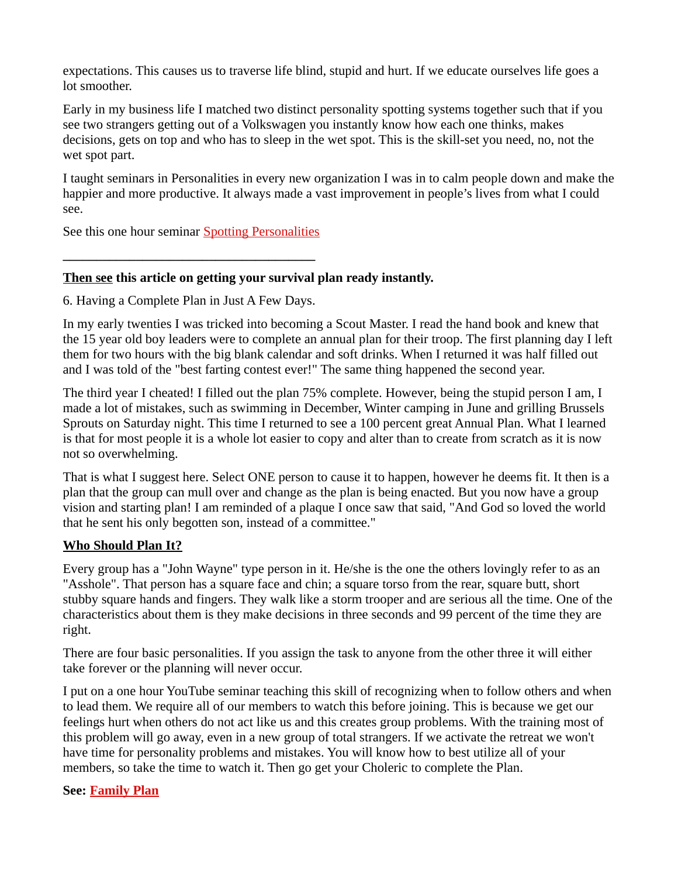expectations. This causes us to traverse life blind, stupid and hurt. If we educate ourselves life goes a lot smoother.

Early in my business life I matched two distinct personality spotting systems together such that if you see two strangers getting out of a Volkswagen you instantly know how each one thinks, makes decisions, gets on top and who has to sleep in the wet spot. This is the skill-set you need, no, not the wet spot part.

I taught seminars in Personalities in every new organization I was in to calm people down and make the happier and more productive. It always made a vast improvement in people's lives from what I could see.

See this one hour seminar [Spotting Personalities](https://costa4669.wixsite.com/pensacolapreppers/personalaties)

**\_\_\_\_\_\_\_\_\_\_\_\_\_\_\_\_\_\_\_\_\_\_\_\_\_\_\_\_\_\_\_\_\_\_\_\_\_\_**

### **Then see this article on getting your survival plan ready instantly.**

6. Having a Complete Plan in Just A Few Days.

In my early twenties I was tricked into becoming a Scout Master. I read the hand book and knew that the 15 year old boy leaders were to complete an annual plan for their troop. The first planning day I left them for two hours with the big blank calendar and soft drinks. When I returned it was half filled out and I was told of the "best farting contest ever!" The same thing happened the second year.

The third year I cheated! I filled out the plan 75% complete. However, being the stupid person I am, I made a lot of mistakes, such as swimming in December, Winter camping in June and grilling Brussels Sprouts on Saturday night. This time I returned to see a 100 percent great Annual Plan. What I learned is that for most people it is a whole lot easier to copy and alter than to create from scratch as it is now not so overwhelming.

That is what I suggest here. Select ONE person to cause it to happen, however he deems fit. It then is a plan that the group can mull over and change as the plan is being enacted. But you now have a group vision and starting plan! I am reminded of a plaque I once saw that said, "And God so loved the world that he sent his only begotten son, instead of a committee."

### **Who Should Plan It?**

Every group has a "John Wayne" type person in it. He/she is the one the others lovingly refer to as an "Asshole". That person has a square face and chin; a square torso from the rear, square butt, short stubby square hands and fingers. They walk like a storm trooper and are serious all the time. One of the characteristics about them is they make decisions in three seconds and 99 percent of the time they are right.

There are four basic personalities. If you assign the task to anyone from the other three it will either take forever or the planning will never occur.

I put on a one hour YouTube seminar teaching this skill of recognizing when to follow others and when to lead them. We require all of our members to watch this before joining. This is because we get our feelings hurt when others do not act like us and this creates group problems. With the training most of this problem will go away, even in a new group of total strangers. If we activate the retreat we won't have time for personality problems and mistakes. You will know how to best utilize all of your members, so take the time to watch it. Then go get your Choleric to complete the Plan.

#### **See: [Family Plan](https://costa4669.wixsite.com/pensacolapreppers/prepping-for-beginners)**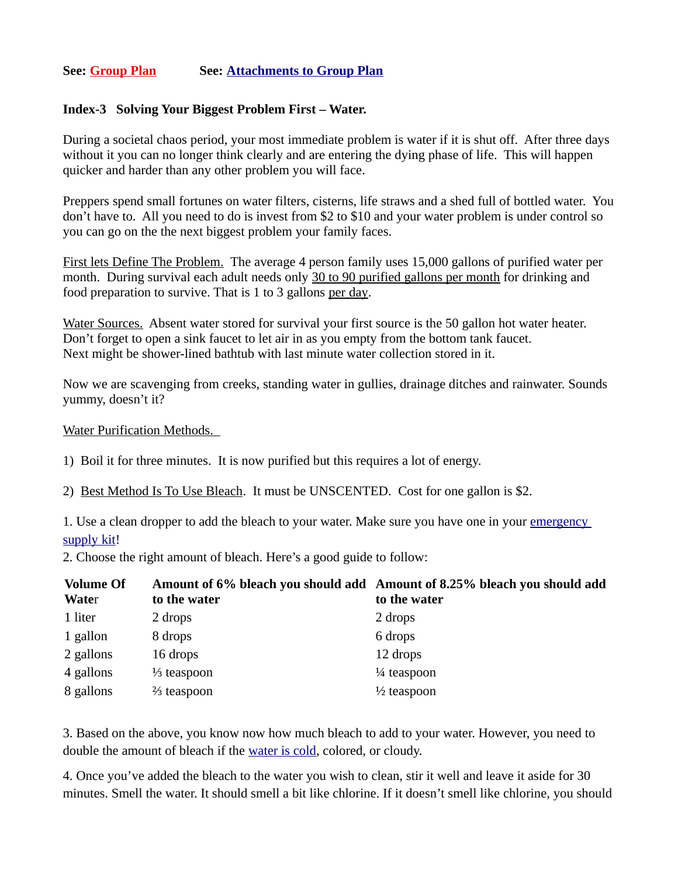### **See: [Group Plan](https://costa4669.wixsite.com/pensacolapreppers/group-survival) See: [Attachments to Group Plan](https://costa4669.wixsite.com/pensacolapreppers/group-attachments)**

#### **Index-3 Solving Your Biggest Problem First – Water.**

During a societal chaos period, your most immediate problem is water if it is shut off. After three days without it you can no longer think clearly and are entering the dying phase of life. This will happen quicker and harder than any other problem you will face.

Preppers spend small fortunes on water filters, cisterns, life straws and a shed full of bottled water. You don't have to. All you need to do is invest from \$2 to \$10 and your water problem is under control so you can go on the the next biggest problem your family faces.

First lets Define The Problem. The average 4 person family uses 15,000 gallons of purified water per month. During survival each adult needs only 30 to 90 purified gallons per month for drinking and food preparation to survive. That is 1 to 3 gallons per day.

Water Sources. Absent water stored for survival your first source is the 50 gallon hot water heater. Don't forget to open a sink faucet to let air in as you empty from the bottom tank faucet. Next might be shower-lined bathtub with last minute water collection stored in it.

Now we are scavenging from creeks, standing water in gullies, drainage ditches and rainwater. Sounds yummy, doesn't it?

Water Purification Methods.

1) Boil it for three minutes. It is now purified but this requires a lot of energy.

2) Best Method Is To Use Bleach. It must be UNSCENTED. Cost for one gallon is \$2.

1. Use a clean dropper to add the bleach to your water. Make sure you have one in your emergency [supply kit!](https://preparednessadvice.com/best/survival-kit/)

2. Choose the right amount of bleach. Here's a good guide to follow:

| <b>Volume Of</b><br><b>Water</b> | to the water           | Amount of 6% bleach you should add Amount of 8.25% bleach you should add<br>to the water |
|----------------------------------|------------------------|------------------------------------------------------------------------------------------|
| 1 liter                          | 2 drops                | 2 drops                                                                                  |
| 1 gallon                         | 8 drops                | 6 drops                                                                                  |
| 2 gallons                        | 16 drops               | 12 drops                                                                                 |
| 4 gallons                        | $\frac{1}{3}$ teaspoon | $\frac{1}{4}$ teaspoon                                                                   |
| 8 gallons                        | $\frac{2}{3}$ teaspoon | $\frac{1}{2}$ teaspoon                                                                   |

3. Based on the above, you know now how much bleach to add to your water. However, you need to double the amount of bleach if the [water is cold,](https://preparednessadvice.com/water-purification-cold-freezing-weather-can-problem/) colored, or cloudy.

4. Once you've added the bleach to the water you wish to clean, stir it well and leave it aside for 30 minutes. Smell the water. It should smell a bit like chlorine. If it doesn't smell like chlorine, you should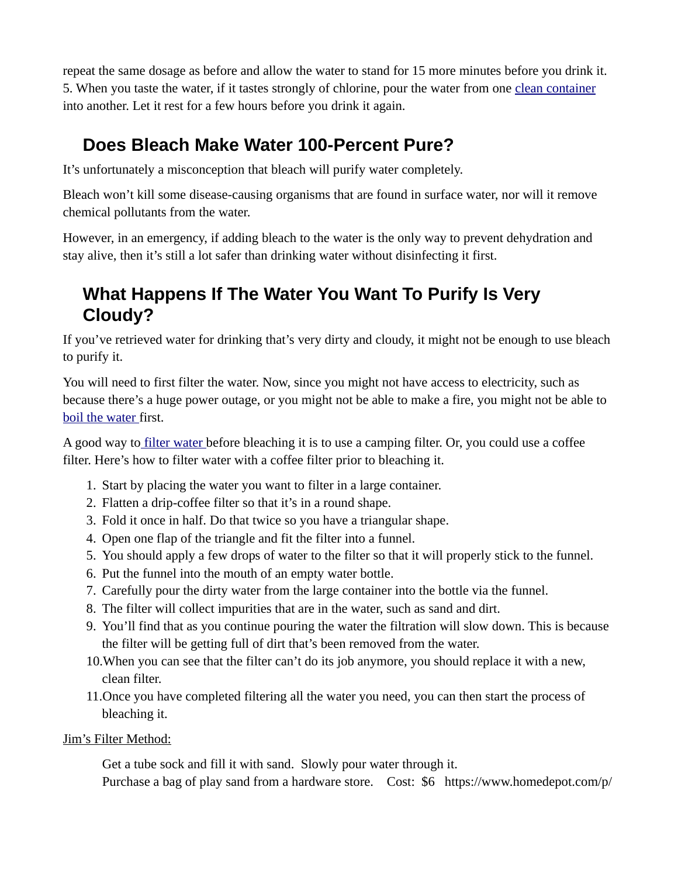repeat the same dosage as before and allow the water to stand for 15 more minutes before you drink it. 5. When you taste the water, if it tastes strongly of chlorine, pour the water from one [clean container](https://preparednessadvice.com/fixtures-emptying-icb-totes-large-water-storage-containers/) into another. Let it rest for a few hours before you drink it again.

# **Does Bleach Make Water 100-Percent Pure?**

It's unfortunately a misconception that bleach will purify water completely.

Bleach won't kill some disease-causing organisms that are found in surface water, nor will it remove chemical pollutants from the water.

However, in an emergency, if adding bleach to the water is the only way to prevent dehydration and stay alive, then it's still a lot safer than drinking water without disinfecting it first.

# **What Happens If The Water You Want To Purify Is Very Cloudy?**

If you've retrieved water for drinking that's very dirty and cloudy, it might not be enough to use bleach to purify it.

You will need to first filter the water. Now, since you might not have access to electricity, such as because there's a huge power outage, or you might not be able to make a fire, you might not be able to [boil the water f](https://preparednessadvice.com/an-inexpensive-way-to-pasteurize-your-water/)irst.

A good way to *filter water* before bleaching it is to use a camping filter. Or, you could use a coffee filter. Here's how to filter water with a coffee filter prior to bleaching it.

- 1. Start by placing the water you want to filter in a large container.
- 2. Flatten a drip-coffee filter so that it's in a round shape.
- 3. Fold it once in half. Do that twice so you have a triangular shape.
- 4. Open one flap of the triangle and fit the filter into a funnel.
- 5. You should apply a few drops of water to the filter so that it will properly stick to the funnel.
- 6. Put the funnel into the mouth of an empty water bottle.
- 7. Carefully pour the dirty water from the large container into the bottle via the funnel.
- 8. The filter will collect impurities that are in the water, such as sand and dirt.
- 9. You'll find that as you continue pouring the water the filtration will slow down. This is because the filter will be getting full of dirt that's been removed from the water.
- 10.When you can see that the filter can't do its job anymore, you should replace it with a new, clean filter.
- 11.Once you have completed filtering all the water you need, you can then start the process of bleaching it.

# Jim's Filter Method:

Get a tube sock and fill it with sand. Slowly pour water through it. Purchase a bag of play sand from a hardware store. Cost: \$6 https://www.homedepot.com/p/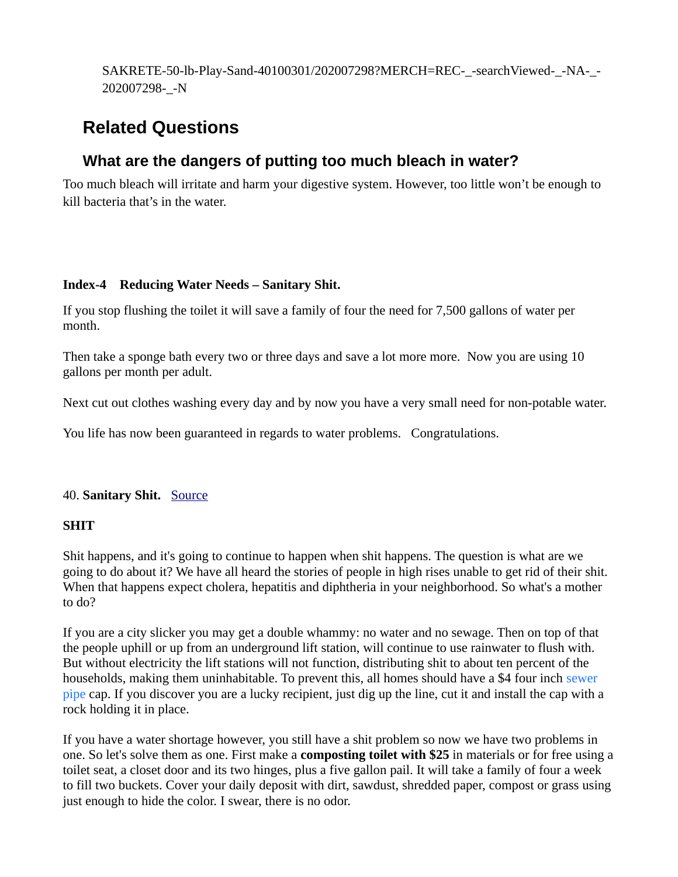SAKRETE-50-lb-Play-Sand-40100301/202007298?MERCH=REC-\_-searchViewed-\_-NA-\_- 202007298-\_-N

# **Related Questions**

# **What are the dangers of putting too much bleach in water?**

Too much bleach will irritate and harm your digestive system. However, too little won't be enough to kill bacteria that's in the water.

### **Index-4 Reducing Water Needs – Sanitary Shit.**

If you stop flushing the toilet it will save a family of four the need for 7,500 gallons of water per month.

Then take a sponge bath every two or three days and save a lot more more. Now you are using 10 gallons per month per adult.

Next cut out clothes washing every day and by now you have a very small need for non-potable water.

You life has now been guaranteed in regards to water problems. Congratulations.

# 40. **Sanitary Shit.** [Source](https://costa4669.wixsite.com/pensacolapreppers/group-survival)

### **SHIT**

Shit happens, and it's going to continue to happen when shit happens. The question is what are we going to do about it? We have all heard the stories of people in high rises unable to get rid of their shit. When that happens expect cholera, hepatitis and diphtheria in your neighborhood. So what's a mother to do?

If you are a city slicker you may get a double whammy: no water and no sewage. Then on top of that the people uphill or up from an underground lift station, will continue to use rainwater to flush with. But without electricity the lift stations will not function, distributing shit to about ten percent of the households, making them uninhabitable. To prevent this, all homes should have a \$4 four inch sewer pipe cap. If you discover you are a lucky recipient, just dig up the line, cut it and install the cap with a rock holding it in place.

If you have a water shortage however, you still have a shit problem so now we have two problems in one. So let's solve them as one. First make a **composting toilet with \$25** in materials or for free using a toilet seat, a closet door and its two hinges, plus a five gallon pail. It will take a family of four a week to fill two buckets. Cover your daily deposit with dirt, sawdust, shredded paper, compost or grass using just enough to hide the color. I swear, there is no odor.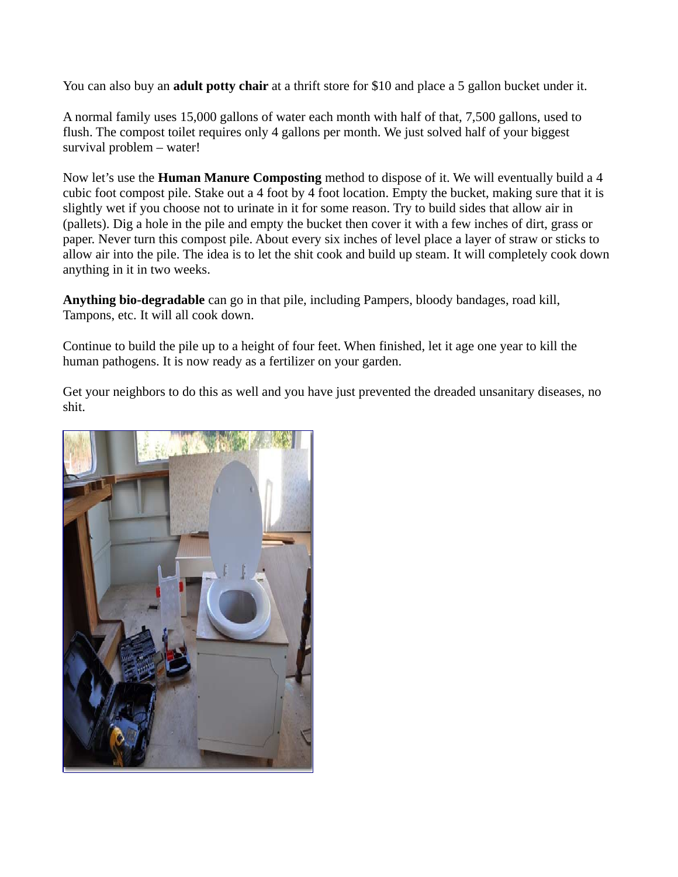You can also buy an **adult potty chair** at a thrift store for \$10 and place a 5 gallon bucket under it.

A normal family uses 15,000 gallons of water each month with half of that, 7,500 gallons, used to flush. The compost toilet requires only 4 gallons per month. We just solved half of your biggest survival problem – water!

Now let's use the **Human Manure Composting** method to dispose of it. We will eventually build a 4 cubic foot compost pile. Stake out a 4 foot by 4 foot location. Empty the bucket, making sure that it is slightly wet if you choose not to urinate in it for some reason. Try to build sides that allow air in (pallets). Dig a hole in the pile and empty the bucket then cover it with a few inches of dirt, grass or paper. Never turn this compost pile. About every six inches of level place a layer of straw or sticks to allow air into the pile. The idea is to let the shit cook and build up steam. It will completely cook down anything in it in two weeks.

**Anything bio-degradable** can go in that pile, including Pampers, bloody bandages, road kill, Tampons, etc. It will all cook down.

Continue to build the pile up to a height of four feet. When finished, let it age one year to kill the human pathogens. It is now ready as a fertilizer on your garden.

Get your neighbors to do this as well and you have just prevented the dreaded unsanitary diseases, no shit.

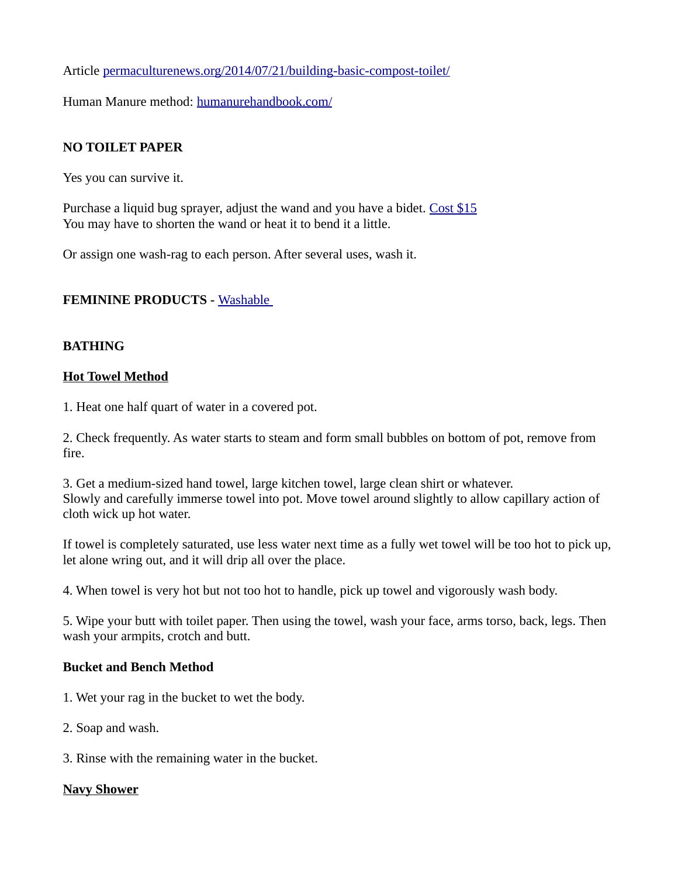Article [permaculturenews.org/2014/07/21/building-basic-compost-toilet/](http://permaculturenews.org/2014/07/21/building-basic-compost-toilet/)

Human Manure method: [humanurehandbook.com/](http://humanurehandbook.com/)

## **NO TOILET PAPER**

Yes you can survive it.

Purchase a liquid bug sprayer, adjust the wand and you have a bidet. [Cost \\$15](https://www.homedepot.com/p/Scotts-1-Gal-Multi-Use-Sprayer-190498/300259157?MERCH=REC-_-SearchPLPHorizontal1_rr-_-NA-_-300259157-_-N) You may have to shorten the wand or heat it to bend it a little.

Or assign one wash-rag to each person. After several uses, wash it.

### **FEMININE PRODUCTS -** [Washable](https://www.amazon.com/s?k=washable+sanatary+pads&i=hpc&ref=nb_sb_noss_2)

### **BATHING**

#### **Hot Towel Method**

1. Heat one half quart of water in a covered pot.

2. Check frequently. As water starts to steam and form small bubbles on bottom of pot, remove from fire.

3. Get a medium-sized hand towel, large kitchen towel, large clean shirt or whatever. Slowly and carefully immerse towel into pot. Move towel around slightly to allow capillary action of cloth wick up hot water.

If towel is completely saturated, use less water next time as a fully wet towel will be too hot to pick up, let alone wring out, and it will drip all over the place.

4. When towel is very hot but not too hot to handle, pick up towel and vigorously wash body.

5. Wipe your butt with toilet paper. Then using the towel, wash your face, arms torso, back, legs. Then wash your armpits, crotch and butt.

### **Bucket and Bench Method**

- 1. Wet your rag in the bucket to wet the body.
- 2. Soap and wash.
- 3. Rinse with the remaining water in the bucket.

### **Navy Shower**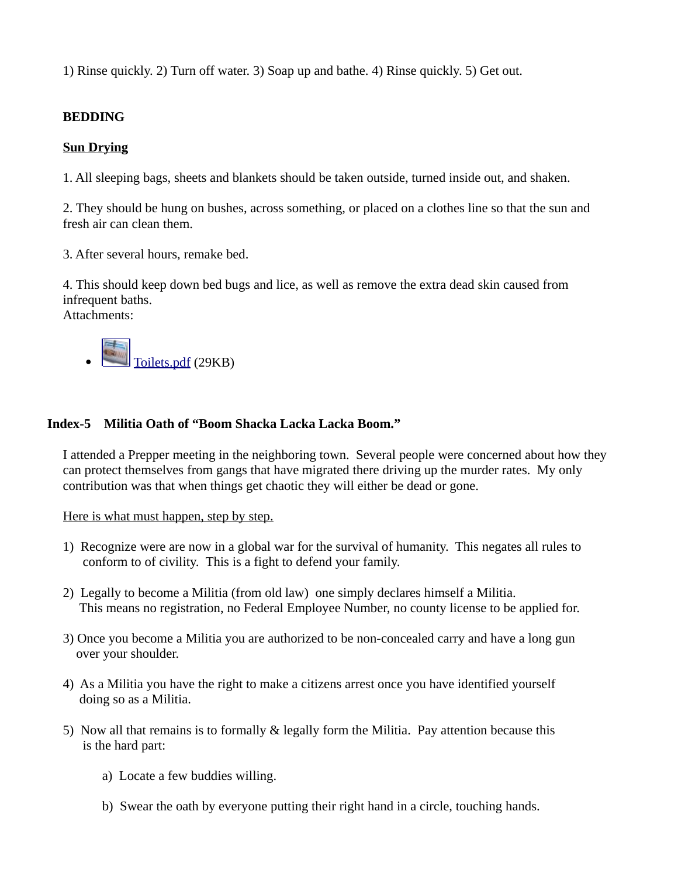1) Rinse quickly. 2) Turn off water. 3) Soap up and bathe. 4) Rinse quickly. 5) Get out.

## **BEDDING**

#### **Sun Drying**

1. All sleeping bags, sheets and blankets should be taken outside, turned inside out, and shaken.

2. They should be hung on bushes, across something, or placed on a clothes line so that the sun and fresh air can clean them.

3. After several hours, remake bed.

4. This should keep down bed bugs and lice, as well as remove the extra dead skin caused from infrequent baths. Attachments:



### **Index-5 Militia Oath of "Boom Shacka Lacka Lacka Boom."**

I attended a Prepper meeting in the neighboring town. Several people were concerned about how they can protect themselves from gangs that have migrated there driving up the murder rates. My only contribution was that when things get chaotic they will either be dead or gone.

Here is what must happen, step by step.

- 1) Recognize were are now in a global war for the survival of humanity. This negates all rules to conform to of civility. This is a fight to defend your family.
- 2) Legally to become a Militia (from old law) one simply declares himself a Militia. This means no registration, no Federal Employee Number, no county license to be applied for.
- 3) Once you become a Militia you are authorized to be non-concealed carry and have a long gun over your shoulder.
- 4) As a Militia you have the right to make a citizens arrest once you have identified yourself doing so as a Militia.
- 5) Now all that remains is to formally & legally form the Militia. Pay attention because this is the hard part:
	- a) Locate a few buddies willing.
	- b) Swear the oath by everyone putting their right hand in a circle, touching hands.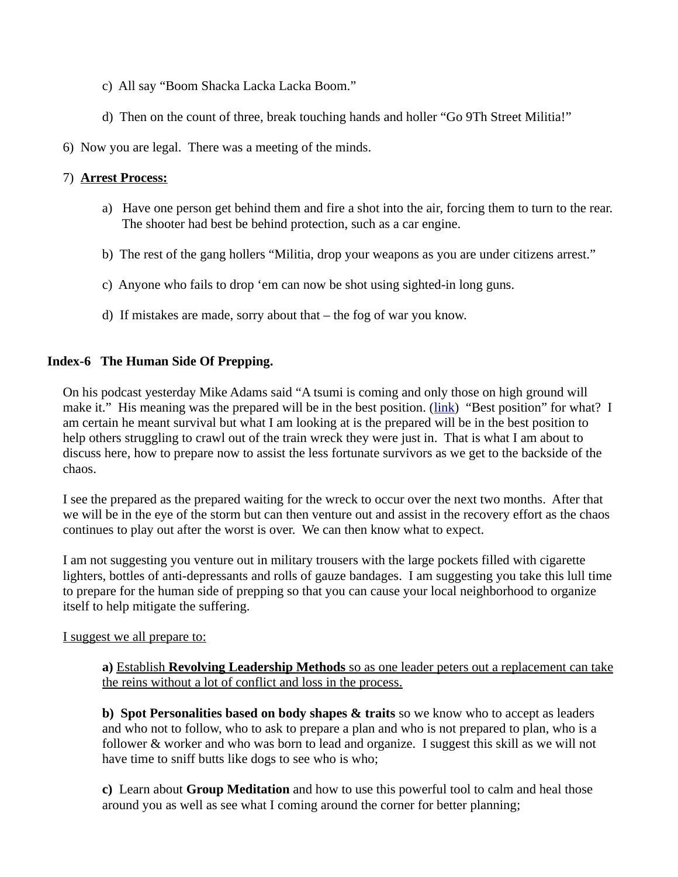- c) All say "Boom Shacka Lacka Lacka Boom."
- d) Then on the count of three, break touching hands and holler "Go 9Th Street Militia!"
- 6) Now you are legal. There was a meeting of the minds.

### 7) **Arrest Process:**

- a) Have one person get behind them and fire a shot into the air, forcing them to turn to the rear. The shooter had best be behind protection, such as a car engine.
- b) The rest of the gang hollers "Militia, drop your weapons as you are under citizens arrest."
- c) Anyone who fails to drop 'em can now be shot using sighted-in long guns.
- d) If mistakes are made, sorry about that the fog of war you know.

## **Index-6 The Human Side Of Prepping.**

On his podcast yesterday Mike Adams said "A tsumi is coming and only those on high ground will make it." His meaning was the prepared will be in the best position. [\(link\)](https://www.brighteon.com/3c5a18d4-32f7-4111-b601-a98c0bd11656) "Best position" for what? I am certain he meant survival but what I am looking at is the prepared will be in the best position to help others struggling to crawl out of the train wreck they were just in. That is what I am about to discuss here, how to prepare now to assist the less fortunate survivors as we get to the backside of the chaos.

I see the prepared as the prepared waiting for the wreck to occur over the next two months. After that we will be in the eye of the storm but can then venture out and assist in the recovery effort as the chaos continues to play out after the worst is over. We can then know what to expect.

I am not suggesting you venture out in military trousers with the large pockets filled with cigarette lighters, bottles of anti-depressants and rolls of gauze bandages. I am suggesting you take this lull time to prepare for the human side of prepping so that you can cause your local neighborhood to organize itself to help mitigate the suffering.

### I suggest we all prepare to:

**a)** Establish **Revolving Leadership Methods** so as one leader peters out a replacement can take the reins without a lot of conflict and loss in the process.

**b) Spot Personalities based on body shapes & traits** so we know who to accept as leaders and who not to follow, who to ask to prepare a plan and who is not prepared to plan, who is a follower & worker and who was born to lead and organize. I suggest this skill as we will not have time to sniff butts like dogs to see who is who;

**c)** Learn about **Group Meditation** and how to use this powerful tool to calm and heal those around you as well as see what I coming around the corner for better planning;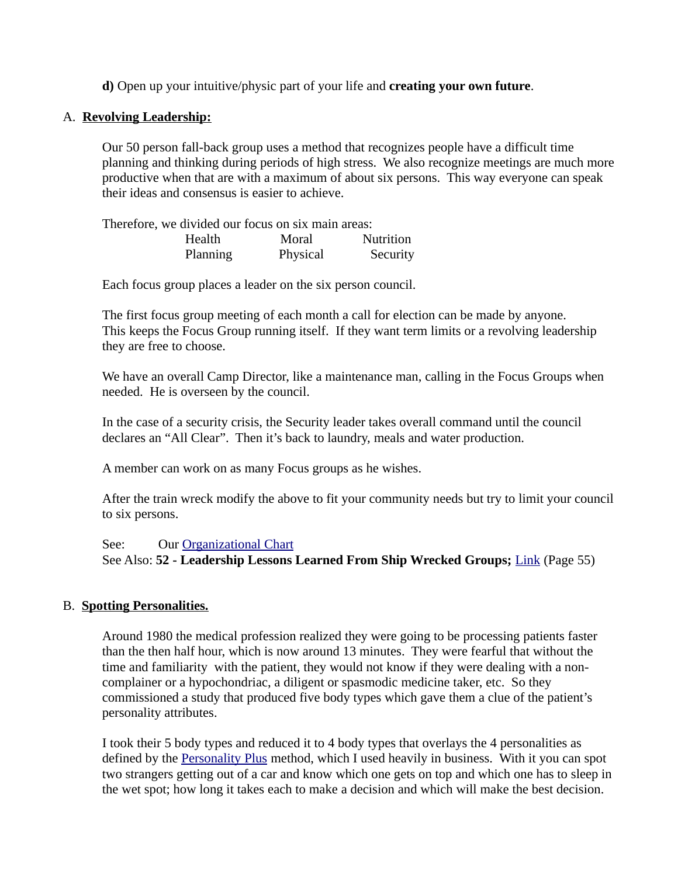**d)** Open up your intuitive/physic part of your life and **creating your own future**.

#### A. **Revolving Leadership:**

Our 50 person fall-back group uses a method that recognizes people have a difficult time planning and thinking during periods of high stress. We also recognize meetings are much more productive when that are with a maximum of about six persons. This way everyone can speak their ideas and consensus is easier to achieve.

Therefore, we divided our focus on six main areas: Health Moral Nutrition Planning Physical Security

Each focus group places a leader on the six person council.

The first focus group meeting of each month a call for election can be made by anyone. This keeps the Focus Group running itself. If they want term limits or a revolving leadership they are free to choose.

We have an overall Camp Director, like a maintenance man, calling in the Focus Groups when needed. He is overseen by the council.

In the case of a security crisis, the Security leader takes overall command until the council declares an "All Clear". Then it's back to laundry, meals and water production.

A member can work on as many Focus groups as he wishes.

After the train wreck modify the above to fit your community needs but try to limit your council to six persons.

See: Our [Organizational Chart](https://5b1f9bab-5ed3-41a0-a79d-a3b248be6e71.filesusr.com/ugd/3c6104_76fc43baea1343a9812b53056ade1756.pdf?fbclid=IwAR3fWebxJrcCSzIxTmvrMXo50dD-lvZesOf6kwpza5bQUzvVFNaDbMNB61s) See Also: **52 - Leadership Lessons Learned From Ship Wrecked Groups;** [Link](https://5b1f9bab-5ed3-41a0-a79d-a3b248be6e71.filesusr.com/ugd/3c6104_d379de8661374deda262784bde02b733.pdf?fbclid=IwAR0ZtNhIr6eC4zhSBr6GA3qgsEuAfuYv2K6pWHqV1A5XgYvM-0BpAIlzxIg) (Page 55)

### B. **Spotting Personalities.**

Around 1980 the medical profession realized they were going to be processing patients faster than the then half hour, which is now around 13 minutes. They were fearful that without the time and familiarity with the patient, they would not know if they were dealing with a noncomplainer or a hypochondriac, a diligent or spasmodic medicine taker, etc. So they commissioned a study that produced five body types which gave them a clue of the patient's personality attributes.

I took their 5 body types and reduced it to 4 body types that overlays the 4 personalities as defined by the [Personality Plus](https://www.amazon.com/Personality-Plus-Understand-Understanding-Yourself/dp/080075445X/ref=sr_1_1?crid=2EFYYJNPU2Q1H&keywords=personality+plus&qid=1652801840&s=books&sprefix=personality+pl%2Cstripbooks%2C899&sr=1-1) method, which I used heavily in business. With it you can spot two strangers getting out of a car and know which one gets on top and which one has to sleep in the wet spot; how long it takes each to make a decision and which will make the best decision.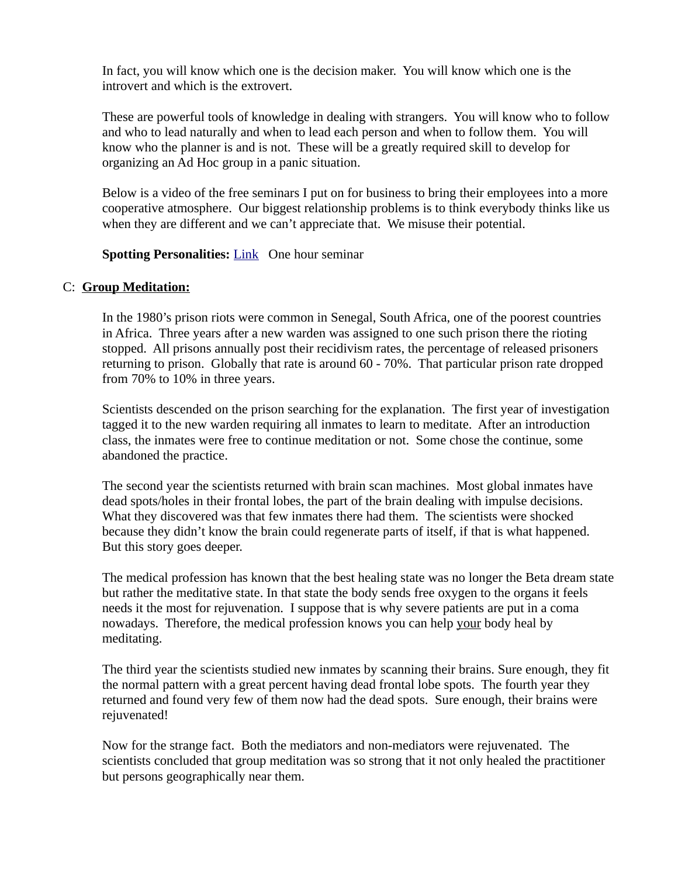In fact, you will know which one is the decision maker. You will know which one is the introvert and which is the extrovert.

These are powerful tools of knowledge in dealing with strangers. You will know who to follow and who to lead naturally and when to lead each person and when to follow them. You will know who the planner is and is not. These will be a greatly required skill to develop for organizing an Ad Hoc group in a panic situation.

Below is a video of the free seminars I put on for business to bring their employees into a more cooperative atmosphere. Our biggest relationship problems is to think everybody thinks like us when they are different and we can't appreciate that. We misuse their potential.

#### **Spotting Personalities: [Link](https://l.facebook.com/l.php?u=https%3A%2F%2Fcosta4669.wixsite.com%2Fpensacolapreppers%2Fpersonalaties%3Ffbclid%3DIwAR3QXhJF90AN_l0OFwbtw25XnyDvYVvknqH1q6VRsdNcICyoAPwYIrDNphk&h=AT04Gom387J96VjYIkyYemE1Pq5IGYNeQYGZm-sJp5P4bcEnwJNnYKLuid2if_Qaq4A93HFqREQKOuqYQ3Iybj3kgZ9x117m5Dp_1Vw0KxikMng_09s1qC0QIQ&__tn__=-UK-R&c[0]=AT3s57MzqeBe1N43jcik94-o7qnNnRPBmsLIrdYbo1du1bnStmKoFaMdI-p7nrYBzGCHbPcw4nlJoS9hZxddZAbircxCEm_TxLUh4Cr1US81sKuU1Z5uqCNZMty1HZhDPqh-4kb-cHfNhLnmdouShbtkLpjQTkziXabazF1-s5JjC6ULlVJDPzvKVKl7zc0GnAnRU2_OBbtfBN4FQWs) One hour seminar**

#### C: **Group Meditation:**

In the 1980's prison riots were common in Senegal, South Africa, one of the poorest countries in Africa. Three years after a new warden was assigned to one such prison there the rioting stopped. All prisons annually post their recidivism rates, the percentage of released prisoners returning to prison. Globally that rate is around 60 - 70%. That particular prison rate dropped from 70% to 10% in three years.

Scientists descended on the prison searching for the explanation. The first year of investigation tagged it to the new warden requiring all inmates to learn to meditate. After an introduction class, the inmates were free to continue meditation or not. Some chose the continue, some abandoned the practice.

The second year the scientists returned with brain scan machines. Most global inmates have dead spots/holes in their frontal lobes, the part of the brain dealing with impulse decisions. What they discovered was that few inmates there had them. The scientists were shocked because they didn't know the brain could regenerate parts of itself, if that is what happened. But this story goes deeper.

The medical profession has known that the best healing state was no longer the Beta dream state but rather the meditative state. In that state the body sends free oxygen to the organs it feels needs it the most for rejuvenation. I suppose that is why severe patients are put in a coma nowadays. Therefore, the medical profession knows you can help your body heal by meditating.

The third year the scientists studied new inmates by scanning their brains. Sure enough, they fit the normal pattern with a great percent having dead frontal lobe spots. The fourth year they returned and found very few of them now had the dead spots. Sure enough, their brains were rejuvenated!

Now for the strange fact. Both the mediators and non-mediators were rejuvenated. The scientists concluded that group meditation was so strong that it not only healed the practitioner but persons geographically near them.